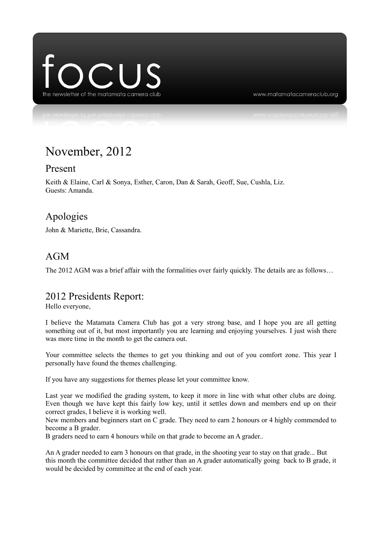

www.matamatacameraclub.org

# November, 2012

#### Present

Keith & Elaine, Carl & Sonya, Esther, Caron, Dan & Sarah, Geoff, Sue, Cushla, Liz. Guests: Amanda.

### Apologies

John & Mariette, Brie, Cassandra.

### AGM

The 2012 AGM was a brief affair with the formalities over fairly quickly. The details are as follows…

### 2012 Presidents Report:

Hello everyone,

I believe the Matamata Camera Club has got a very strong base, and I hope you are all getting something out of it, but most importantly you are learning and enjoying yourselves. I just wish there was more time in the month to get the camera out.

Your committee selects the themes to get you thinking and out of you comfort zone. This year I personally have found the themes challenging.

If you have any suggestions for themes please let your committee know.

Last year we modified the grading system, to keep it more in line with what other clubs are doing. Even though we have kept this fairly low key, until it settles down and members end up on their correct grades, I believe it is working well.

New members and beginners start on C grade. They need to earn 2 honours or 4 highly commended to become a B grader.

B graders need to earn 4 honours while on that grade to become an A grader..

An A grader needed to earn 3 honours on that grade, in the shooting year to stay on that grade... But this month the committee decided that rather than an A grader automatically going back to B grade, it would be decided by committee at the end of each year.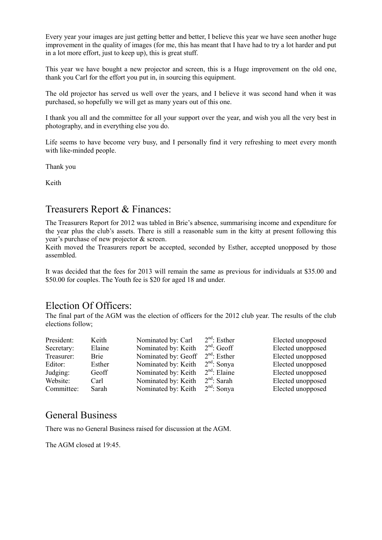Every year your images are just getting better and better, I believe this year we have seen another huge improvement in the quality of images (for me, this has meant that I have had to try a lot harder and put in a lot more effort, just to keep up), this is great stuff.

This year we have bought a new projector and screen, this is a Huge improvement on the old one, thank you Carl for the effort you put in, in sourcing this equipment.

The old projector has served us well over the years, and I believe it was second hand when it was purchased, so hopefully we will get as many years out of this one.

I thank you all and the committee for all your support over the year, and wish you all the very best in photography, and in everything else you do.

Life seems to have become very busy, and I personally find it very refreshing to meet every month with like-minded people.

Thank you

Keith

#### Treasurers Report & Finances:

The Treasurers Report for 2012 was tabled in Brie's absence, summarising income and expenditure for the year plus the club's assets. There is still a reasonable sum in the kitty at present following this year's purchase of new projector & screen.

Keith moved the Treasurers report be accepted, seconded by Esther, accepted unopposed by those assembled.

It was decided that the fees for 2013 will remain the same as previous for individuals at \$35.00 and \$50.00 for couples. The Youth fee is \$20 for aged 18 and under.

#### Election Of Officers:

The final part of the AGM was the election of officers for the 2012 club year. The results of the club elections follow;

| President: | Keith  | Nominated by: Carl  | $2nd$ : Esther | Elected unopposed |
|------------|--------|---------------------|----------------|-------------------|
| Secretary: | Elaine | Nominated by: Keith | $2nd$ : Geoff  | Elected unopposed |
| Treasurer: | Brie   | Nominated by: Geoff | $2nd$ : Esther | Elected unopposed |
| Editor:    | Esther | Nominated by: Keith | $2nd$ : Sonya  | Elected unopposed |
| Judging:   | Geoff  | Nominated by: Keith | $2nd$ : Elaine | Elected unopposed |
| Website:   | Carl   | Nominated by: Keith | $2nd$ : Sarah  | Elected unopposed |
| Committee: | Sarah  | Nominated by: Keith | $2nd$ : Sonya  | Elected unopposed |

### General Business

There was no General Business raised for discussion at the AGM.

The AGM closed at 19:45.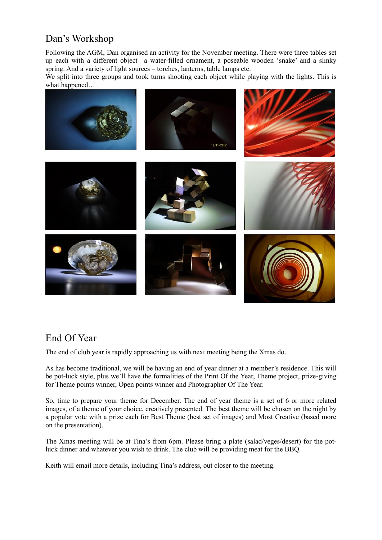# Dan's Workshop

Following the AGM, Dan organised an activity for the November meeting. There were three tables set up each with a different object –a water-filled ornament, a poseable wooden 'snake' and a slinky spring. And a variety of light sources – torches, lanterns, table lamps etc.

We split into three groups and took turns shooting each object while playing with the lights. This is what happened…



## End Of Year

The end of club year is rapidly approaching us with next meeting being the Xmas do.

As has become traditional, we will be having an end of year dinner at a member's residence. This will be pot-luck style, plus we'll have the formalities of the Print Of the Year, Theme project, prize-giving for Theme points winner, Open points winner and Photographer Of The Year.

So, time to prepare your theme for December. The end of year theme is a set of 6 or more related images, of a theme of your choice, creatively presented. The best theme will be chosen on the night by a popular vote with a prize each for Best Theme (best set of images) and Most Creative (based more on the presentation).

The Xmas meeting will be at Tina's from 6pm. Please bring a plate (salad/veges/desert) for the potluck dinner and whatever you wish to drink. The club will be providing meat for the BBQ.

Keith will email more details, including Tina's address, out closer to the meeting.